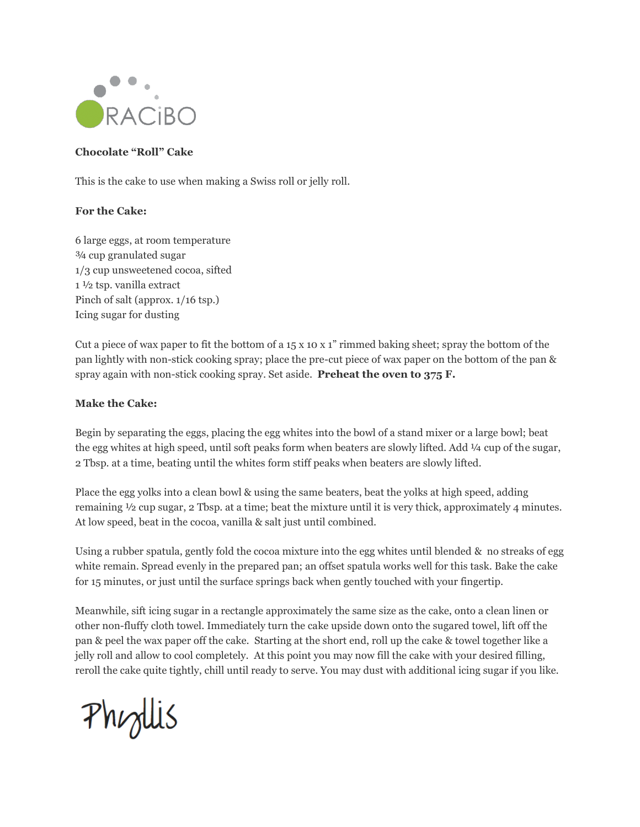

## **Chocolate "Roll" Cake**

This is the cake to use when making a Swiss roll or jelly roll.

## **For the Cake:**

6 large eggs, at room temperature ¾ cup granulated sugar 1/3 cup unsweetened cocoa, sifted 1 ½ tsp. vanilla extract Pinch of salt (approx. 1/16 tsp.) Icing sugar for dusting

Cut a piece of wax paper to fit the bottom of a  $15 \times 10 \times 1$ " rimmed baking sheet; spray the bottom of the pan lightly with non-stick cooking spray; place the pre-cut piece of wax paper on the bottom of the pan & spray again with non-stick cooking spray. Set aside. **Preheat the oven to 375 F.**

## **Make the Cake:**

Begin by separating the eggs, placing the egg whites into the bowl of a stand mixer or a large bowl; beat the egg whites at high speed, until soft peaks form when beaters are slowly lifted. Add ¼ cup of the sugar, 2 Tbsp. at a time, beating until the whites form stiff peaks when beaters are slowly lifted.

Place the egg yolks into a clean bowl & using the same beaters, beat the yolks at high speed, adding remaining ½ cup sugar, 2 Tbsp. at a time; beat the mixture until it is very thick, approximately 4 minutes. At low speed, beat in the cocoa, vanilla & salt just until combined.

Using a rubber spatula, gently fold the cocoa mixture into the egg whites until blended  $\&$  no streaks of egg white remain. Spread evenly in the prepared pan; an offset spatula works well for this task. Bake the cake for 15 minutes, or just until the surface springs back when gently touched with your fingertip.

Meanwhile, sift icing sugar in a rectangle approximately the same size as the cake, onto a clean linen or other non-fluffy cloth towel. Immediately turn the cake upside down onto the sugared towel, lift off the pan & peel the wax paper off the cake. Starting at the short end, roll up the cake & towel together like a jelly roll and allow to cool completely. At this point you may now fill the cake with your desired filling, reroll the cake quite tightly, chill until ready to serve. You may dust with additional icing sugar if you like.

Phyllis